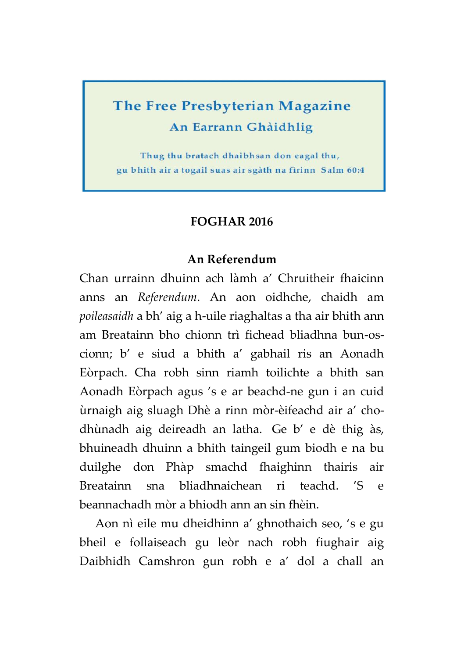# **The Free Presbyterian Magazine** An Earrann Ghàidhlig

Thug thu bratach dhaibhsan don eagal thu, gu bhith air a togail suas air sgàth na fìrinn Salm 60:4

#### **FOGHAR 2016**

#### **An Referendum**

Chan urrainn dhuinn ach làmh a' Chruitheir fhaicinn anns an *Referendum*. An aon oidhche, chaidh am *poileasaidh* a bh' aig a h-uile riaghaltas a tha air bhith ann am Breatainn bho chionn trì fichead bliadhna bun-oscionn; b' e siud a bhith a' gabhail ris an Aonadh Eòrpach. Cha robh sinn riamh toilichte a bhith san Aonadh Eòrpach agus 's e ar beachd-ne gun i an cuid ùrnaigh aig sluagh Dhè a rinn mòr-èifeachd air a' chodhùnadh aig deireadh an latha. Ge b' e dè thig às, bhuineadh dhuinn a bhith taingeil gum biodh e na bu duilghe don Phàp smachd fhaighinn thairis air Breatainn sna bliadhnaichean ri teachd. 'S e beannachadh mòr a bhiodh ann an sin fhèin.

Aon nì eile mu dheidhinn a' ghnothaich seo, 's e gu bheil e follaiseach gu leòr nach robh fiughair aig Daibhidh Camshron gun robh e a' dol a chall an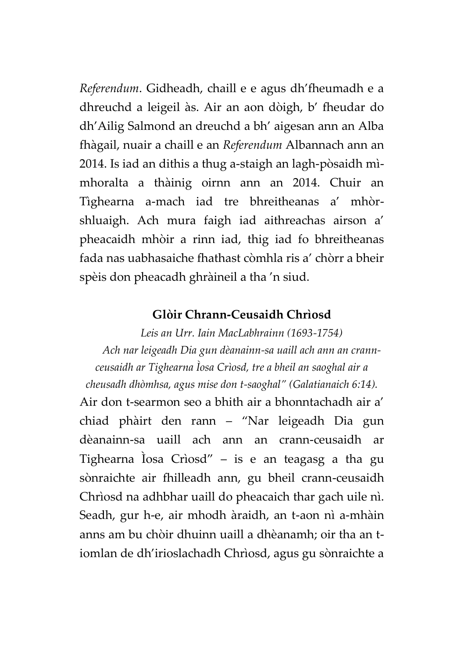*Referendum*. Gidheadh, chaill e e agus dh'fheumadh e a dhreuchd a leigeil às. Air an aon dòigh, b' fheudar do dh'Ailig Salmond an dreuchd a bh' aigesan ann an Alba fhàgail, nuair a chaill e an *Referendum* Albannach ann an 2014. Is iad an dithis a thug a-staigh an lagh-pòsaidh mìmhoralta a thàinig oirnn ann an 2014. Chuir an Tìghearna a-mach iad tre bhreitheanas a' mhòrshluaigh. Ach mura faigh iad aithreachas airson a' pheacaidh mhòir a rinn iad, thig iad fo bhreitheanas fada nas uabhasaiche fhathast còmhla ris a' chòrr a bheir spèis don pheacadh ghràineil a tha 'n siud.

#### **Glòir Chrann-Ceusaidh Chrìosd**

*Leis an Urr. Iain MacLabhrainn (1693-1754) Ach nar leigeadh Dia gun dèanainn-sa uaill ach ann an crannceusaidh ar Tighearna Ìosa Crìosd, tre a bheil an saoghal air a cheusadh dhòmhsa, agus mise don t-saoghal" (Galatianaich 6:14).*

Air don t-searmon seo a bhith air a bhonntachadh air a' chiad phàirt den rann – "Nar leigeadh Dia gun dèanainn-sa uaill ach ann an crann-ceusaidh ar Tighearna Ìosa Crìosd" – is e an teagasg a tha gu sònraichte air fhilleadh ann, gu bheil crann-ceusaidh Chrìosd na adhbhar uaill do pheacaich thar gach uile nì. Seadh, gur h-e, air mhodh àraidh, an t-aon nì a-mhàin anns am bu chòir dhuinn uaill a dhèanamh; oir tha an tiomlan de dh'irioslachadh Chrìosd, agus gu sònraichte a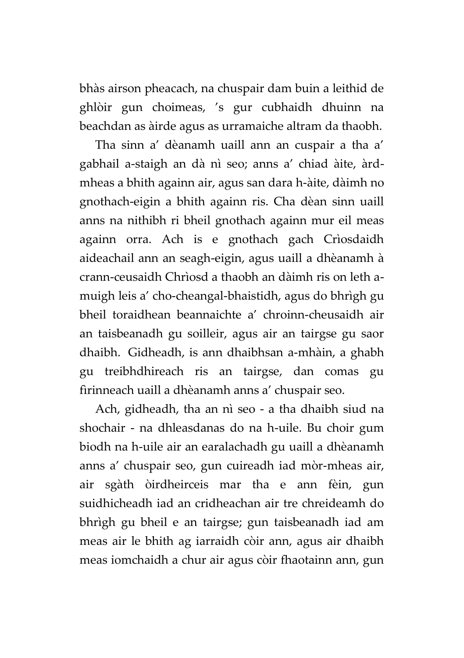bhàs airson pheacach, na chuspair dam buin a leithid de ghlòir gun choimeas, 's gur cubhaidh dhuinn na beachdan as àirde agus as urramaiche altram da thaobh.

Tha sinn a' dèanamh uaill ann an cuspair a tha a' gabhail a-staigh an dà nì seo; anns a' chiad àite, àrdmheas a bhith againn air, agus san dara h-àite, dàimh no gnothach-eigin a bhith againn ris. Cha dèan sinn uaill anns na nithibh ri bheil gnothach againn mur eil meas againn orra. Ach is e gnothach gach Crìosdaidh aideachail ann an seagh-eigin, agus uaill a dhèanamh à crann-ceusaidh Chrìosd a thaobh an dàimh ris on leth amuigh leis a' cho-cheangal-bhaistidh, agus do bhrìgh gu bheil toraidhean beannaichte a' chroinn-cheusaidh air an taisbeanadh gu soilleir, agus air an tairgse gu saor dhaibh. Gidheadh, is ann dhaibhsan a-mhàin, a ghabh gu treibhdhireach ris an tairgse, dan comas gu fìrinneach uaill a dhèanamh anns a' chuspair seo.

Ach, gidheadh, tha an nì seo - a tha dhaibh siud na shochair - na dhleasdanas do na h-uile. Bu choir gum biodh na h-uile air an earalachadh gu uaill a dhèanamh anns a' chuspair seo, gun cuireadh iad mòr-mheas air, air sgàth òirdheirceis mar tha e ann fèin, gun suidhicheadh iad an cridheachan air tre chreideamh do bhrìgh gu bheil e an tairgse; gun taisbeanadh iad am meas air le bhith ag iarraidh còir ann, agus air dhaibh meas iomchaidh a chur air agus còir fhaotainn ann, gun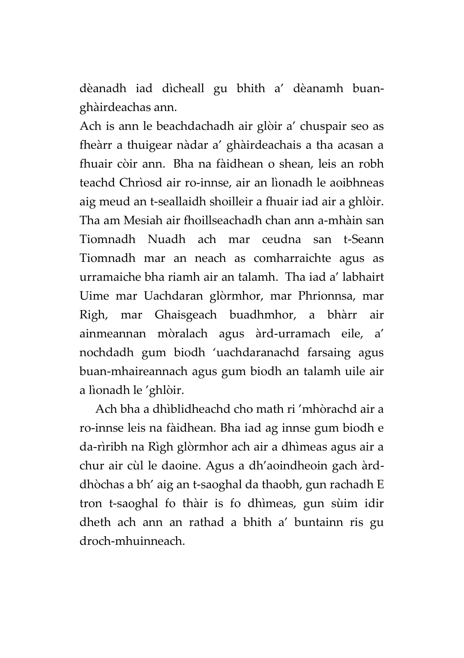dèanadh iad dìcheall gu bhith a' dèanamh buanghàirdeachas ann.

Ach is ann le beachdachadh air glòir a' chuspair seo as fheàrr a thuigear nàdar a' ghàirdeachais a tha acasan a fhuair còir ann. Bha na fàidhean o shean, leis an robh teachd Chrìosd air ro-innse, air an lìonadh le aoibhneas aig meud an t-seallaidh shoilleir a fhuair iad air a ghlòir. Tha am Mesiah air fhoillseachadh chan ann a-mhàin san Tiomnadh Nuadh ach mar ceudna san t-Seann Tiomnadh mar an neach as comharraichte agus as urramaiche bha riamh air an talamh. Tha iad a' labhairt Uime mar Uachdaran glòrmhor, mar Phrionnsa, mar Righ, mar Ghaisgeach buadhmhor, a bhàrr air ainmeannan mòralach agus àrd-urramach eile, a' nochdadh gum biodh 'uachdaranachd farsaing agus buan-mhaireannach agus gum biodh an talamh uile air a lìonadh le 'ghlòir.

Ach bha a dhìblidheachd cho math ri 'mhòrachd air a ro-innse leis na fàidhean. Bha iad ag innse gum biodh e da-rìribh na Rìgh glòrmhor ach air a dhìmeas agus air a chur air cùl le daoine. Agus a dh'aoindheoin gach àrddhòchas a bh' aig an t-saoghal da thaobh, gun rachadh E tron t-saoghal fo thàir is fo dhìmeas, gun sùim idir dheth ach ann an rathad a bhith a' buntainn ris gu droch-mhuinneach.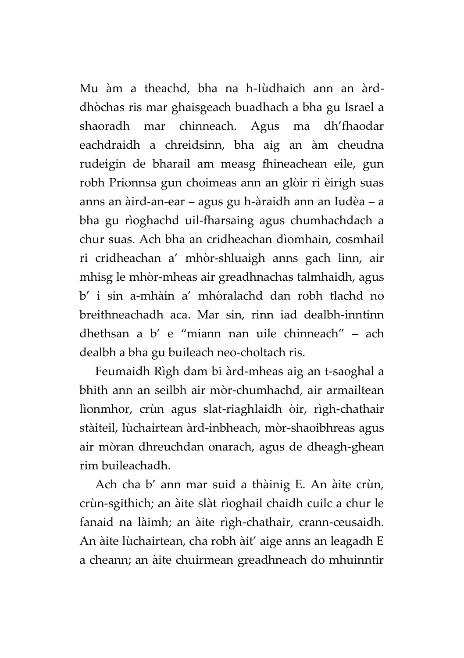Mu àm a theachd, bha na h-Iùdhaich ann an àrddhòchas ris mar ghaisgeach buadhach a bha gu Israel a shaoradh mar chinneach. Agus ma dh'fhaodar eachdraidh a chreidsinn, bha aig an àm cheudna rudeigin de bharail am measg fhineachean eile, gun robh Prionnsa gun choimeas ann an glòir ri èirigh suas anns an àird-an-ear – agus gu h-àraidh ann an Iudèa – a bha gu rìoghachd uil-fharsaing agus chumhachdach a chur suas. Ach bha an cridheachan dìomhain, cosmhail ri cridheachan a' mhòr-shluaigh anns gach linn, air mhisg le mhòr-mheas air greadhnachas talmhaidh, agus b' i sin a-mhàin a' mhòralachd dan robh tlachd no breithneachadh aca. Mar sin, rinn iad dealbh-inntinn dhethsan a b' e "miann nan uile chinneach" – ach dealbh a bha gu buileach neo-choltach ris.

Feumaidh Rìgh dam bi àrd-mheas aig an t-saoghal a bhith ann an seilbh air mòr-chumhachd, air armailtean lìonmhor, crùn agus slat-riaghlaidh òir, rìgh-chathair stàiteil, lùchairtean àrd-inbheach, mòr-shaoibhreas agus air mòran dhreuchdan onarach, agus de dheagh-ghean rim buileachadh.

Ach cha b' ann mar suid a thàinig E. An àite crùn, crùn-sgithich; an àite slàt rìoghail chaidh cuilc a chur le fanaid na làimh; an àite rìgh-chathair, crann-ceusaidh. An àite lùchairtean, cha robh àit' aige anns an leagadh E a cheann; an àite chuirmean greadhneach do mhuinntir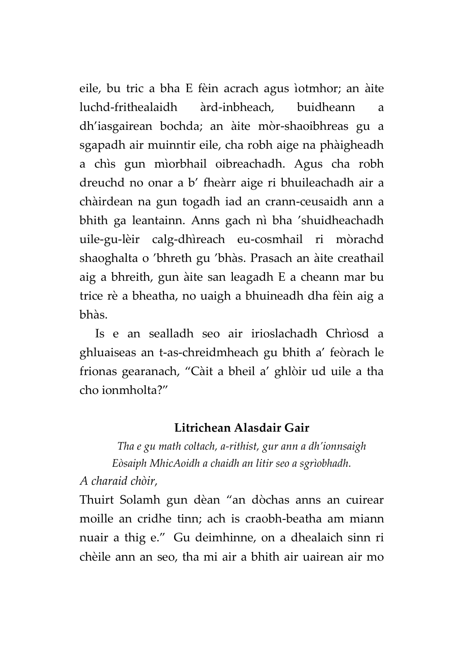eile, bu tric a bha E fèin acrach agus ìotmhor; an àite luchd-frithealaidh àrd-inbheach, buidheann a dh'iasgairean bochda; an àite mòr-shaoibhreas gu a sgapadh air muinntir eile, cha robh aige na phàigheadh a chìs gun mìorbhail oibreachadh. Agus cha robh dreuchd no onar a b' fheàrr aige ri bhuileachadh air a chàirdean na gun togadh iad an crann-ceusaidh ann a bhith ga leantainn. Anns gach nì bha 'shuidheachadh uile-gu-lèir calg-dhìreach eu-cosmhail ri mòrachd shaoghalta o 'bhreth gu 'bhàs. Prasach an àite creathail aig a bhreith, gun àite san leagadh E a cheann mar bu trice rè a bheatha, no uaigh a bhuineadh dha fèin aig a bhàs.

Is e an sealladh seo air irioslachadh Chrìosd a ghluaiseas an t-as-chreidmheach gu bhith a' feòrach le frionas gearanach, "Càit a bheil a' ghlòir ud uile a tha cho ionmholta?"

## **Litrichean Alasdair Gair**

*Tha e gu math coltach, a-rithist, gur ann a dh'ionnsaigh Eòsaiph MhicAoidh a chaidh an litir seo a sgrìobhadh.*

*A charaid chòir,*

Thuirt Solamh gun dèan "an dòchas anns an cuirear moille an cridhe tinn; ach is craobh-beatha am miann nuair a thig e." Gu deimhinne, on a dhealaich sinn ri chèile ann an seo, tha mi air a bhith air uairean air mo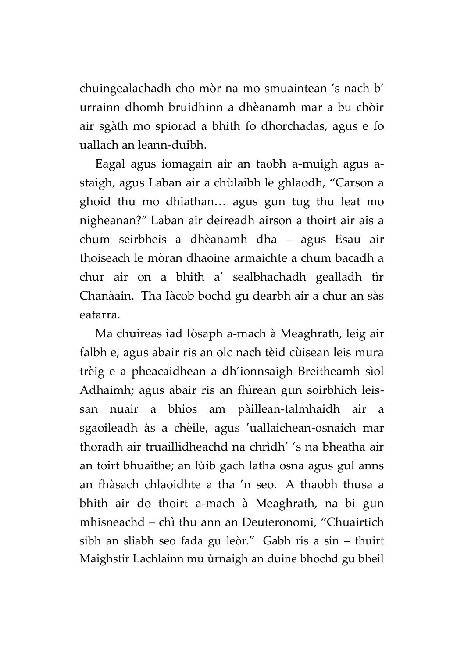chuingealachadh cho mòr na mo smuaintean 's nach b' urrainn dhomh bruidhinn a dhèanamh mar a bu chòir air sgàth mo spiorad a bhith fo dhorchadas, agus e fo uallach an leann-duibh.

Eagal agus iomagain air an taobh a-muigh agus astaigh, agus Laban air a chùlaibh le ghlaodh, "Carson a ghoid thu mo dhiathan… agus gun tug thu leat mo nigheanan?" Laban air deireadh airson a thoirt air ais a chum seirbheis a dhèanamh dha – agus Esau air thoiseach le mòran dhaoine armaichte a chum bacadh a chur air on a bhith a' sealbhachadh gealladh tìr Chanàain. Tha Iàcob bochd gu dearbh air a chur an sàs eatarra.

Ma chuireas iad Iòsaph a-mach à Meaghrath, leig air falbh e, agus abair ris an olc nach tèid cùisean leis mura trèig e a pheacaidhean a dh'ionnsaigh Breitheamh sìol Adhaimh; agus abair ris an fhìrean gun soirbhich leissan nuair a bhios am pàillean-talmhaidh air a sgaoileadh às a chèile, agus 'uallaichean-osnaich mar thoradh air truaillidheachd na chrìdh' 's na bheatha air an toirt bhuaithe; an lùib gach latha osna agus gul anns an fhàsach chlaoidhte a tha 'n seo. A thaobh thusa a bhith air do thoirt a-mach à Meaghrath, na bi gun mhisneachd – chì thu ann an Deuteronomi, "Chuairtich sibh an sliabh seo fada gu leòr." Gabh ris a sin – thuirt Maighstir Lachlainn mu ùrnaigh an duine bhochd gu bheil